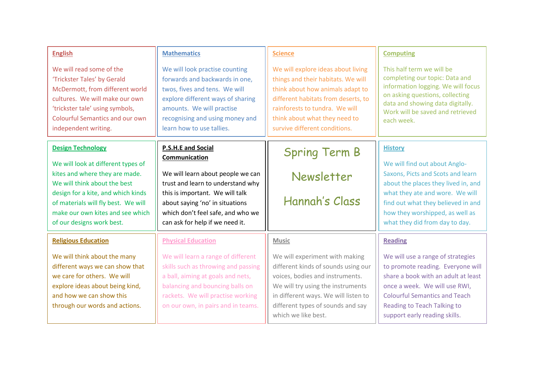| <b>English</b>                         | <b>Mathematics</b>                | <b>Science</b>                      | <b>Computing</b>                    |
|----------------------------------------|-----------------------------------|-------------------------------------|-------------------------------------|
| We will read some of the               | We will look practise counting    | We will explore ideas about living  | This half term we will be           |
| 'Trickster Tales' by Gerald            | forwards and backwards in one,    | things and their habitats. We will  | completing our topic: Data and      |
| McDermott, from different world        | twos, fives and tens. We will     | think about how animals adapt to    | information logging. We will focus  |
| cultures. We will make our own         | explore different ways of sharing | different habitats from deserts, to | on asking questions, collecting     |
| 'trickster tale' using symbols,        | amounts. We will practise         | rainforests to tundra. We will      | data and showing data digitally.    |
| <b>Colourful Semantics and our own</b> | recognising and using money and   | think about what they need to       | Work will be saved and retrieved    |
| independent writing.                   | learn how to use tallies.         | survive different conditions.       | each week.                          |
| <b>Design Technology</b>               | <b>P.S.H.E and Social</b>         | <b>Spring Term B</b>                | <b>History</b>                      |
| We will look at different types of     | Communication                     |                                     | We will find out about Anglo-       |
| kites and where they are made.         | We will learn about people we can | Newsletter                          | Saxons, Picts and Scots and learn   |
| We will think about the best           | trust and learn to understand why |                                     | about the places they lived in, and |
| design for a kite, and which kinds     | this is important. We will talk   | Hannah's Class                      | what they ate and wore. We will     |
| of materials will fly best. We will    | about saying 'no' in situations   |                                     | find out what they believed in and  |
| make our own kites and see which       | which don't feel safe, and who we |                                     | how they worshipped, as well as     |
| of our designs work best.              | can ask for help if we need it.   |                                     | what they did from day to day.      |
| <b>Religious Education</b>             | <b>Physical Education</b>         | <b>Music</b>                        | <b>Reading</b>                      |